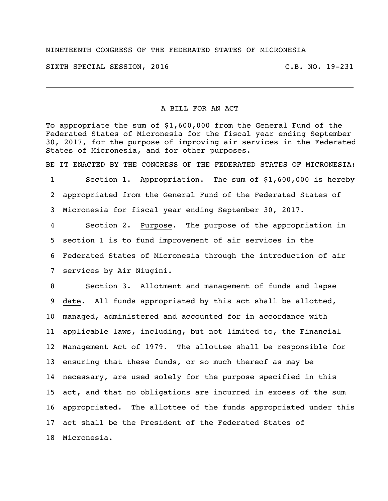## NINETEENTH CONGRESS OF THE FEDERATED STATES OF MICRONESIA

SIXTH SPECIAL SESSION, 2016 C.B. NO. 19-231

## A BILL FOR AN ACT

To appropriate the sum of \$1,600,000 from the General Fund of the Federated States of Micronesia for the fiscal year ending September 30, 2017, for the purpose of improving air services in the Federated States of Micronesia, and for other purposes.

BE IT ENACTED BY THE CONGRESS OF THE FEDERATED STATES OF MICRONESIA:

 Section 1. Appropriation. The sum of \$1,600,000 is hereby appropriated from the General Fund of the Federated States of Micronesia for fiscal year ending September 30, 2017.

 Section 2. Purpose. The purpose of the appropriation in section 1 is to fund improvement of air services in the Federated States of Micronesia through the introduction of air services by Air Niugini.

 Section 3. Allotment and management of funds and lapse date. All funds appropriated by this act shall be allotted, managed, administered and accounted for in accordance with applicable laws, including, but not limited to, the Financial Management Act of 1979. The allottee shall be responsible for ensuring that these funds, or so much thereof as may be necessary, are used solely for the purpose specified in this act, and that no obligations are incurred in excess of the sum appropriated. The allottee of the funds appropriated under this act shall be the President of the Federated States of Micronesia.